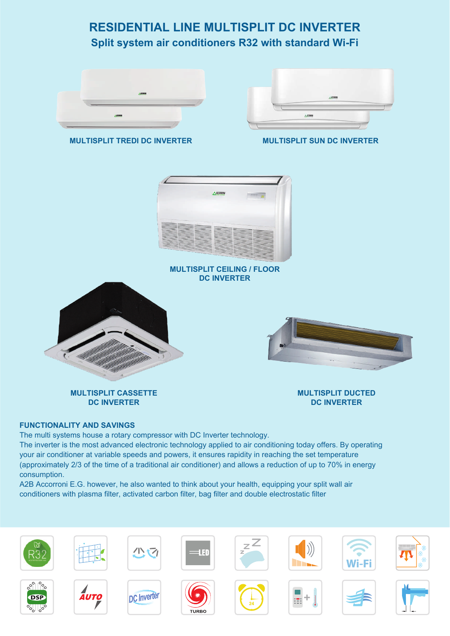### **RESIDENTIAL LINE MULTISPLIT DC INVERTER Split system air conditioners R32 with standard Wi-Fi**



**MULTISPLIT TREDI DC INVERTER MULTISPLIT SUN DC INVERTER**





**MULTISPLIT CEILING / FLOOR DC INVERTER**





**MULTISPLIT CASSETTE DC INVERTER**

**MULTISPLIT DUCTED DC INVERTER**

#### **FUNCTIONALITY AND SAVINGS**

The multi systems house a rotary compressor with DC Inverter technology.

The inverter is the most advanced electronic technology applied to air conditioning today offers. By operating your air conditioner at variable speeds and powers, it ensures rapidity in reaching the set temperature (approximately 2/3 of the time of a traditional air conditioner) and allows a reduction of up to 70% in energy consumption.

A2B Accorroni E.G. however, he also wanted to think about your health, equipping your split wall air conditioners with plasma filter, activated carbon filter, bag filter and double electrostatic filter

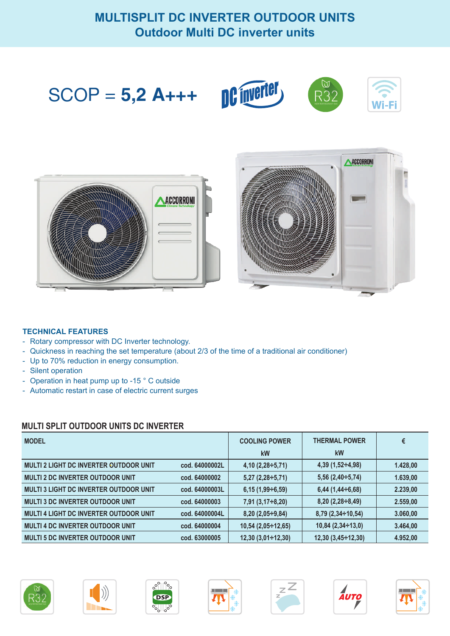### **MULTISPLIT DC INVERTER OUTDOOR UNITS Outdoor Multi DC inverter units**





#### **TECHNICAL FEATURES**

- Rotary compressor with DC Inverter technology.
- Quickness in reaching the set temperature (about 2/3 of the time of a traditional air conditioner)
- Up to 70% reduction in energy consumption.
- Silent operation
- Operation in heat pump up to -15 ° C outside
- Automatic restart in case of electric current surges

### **MULTI SPLIT OUTDOOR UNITS DC INVERTER**

| <b>MODEL</b>                                  |                | <b>COOLING POWER</b>     | <b>THERMAL POWER</b>     | €        |
|-----------------------------------------------|----------------|--------------------------|--------------------------|----------|
|                                               |                | kW                       | kW                       |          |
| <b>MULTI 2 LIGHT DC INVERTER OUTDOOR UNIT</b> | cod. 64000002L | $4,10(2,28 \div 5,71)$   | $4,39(1,52 \div 4,98)$   | 1.428,00 |
| <b>MULTI 2 DC INVERTER OUTDOOR UNIT</b>       | cod. 64000002  | $5,27(2,28 \div 5,71)$   | $5,56(2,40 \div 5,74)$   | 1.639,00 |
| <b>MULTI 3 LIGHT DC INVERTER OUTDOOR UNIT</b> | cod. 64000003L | $6,15(1,99 \div 6,59)$   | $6,44$ (1,44÷6,68)       | 2.239,00 |
| <b>MULTI 3 DC INVERTER OUTDOOR UNIT</b>       | cod. 64000003  | $7,91(3,17\div 8,20)$    | $8,20(2,28 \div 8,49)$   | 2.559,00 |
| <b>MULTI 4 LIGHT DC INVERTER OUTDOOR UNIT</b> | cod. 64000004L | $8,20(2,05 \div 9,84)$   | $8,79$ (2,34÷10,54)      | 3.060,00 |
| <b>MULTI 4 DC INVERTER OUTDOOR UNIT</b>       | cod. 64000004  | $10,54(2,05 \div 12,65)$ | $10,84(2,34 \div 13,0)$  | 3.464,00 |
| <b>MULTI 5 DC INVERTER OUTDOOR UNIT</b>       | cod. 63000005  | $12,30(3,01 \div 12,30)$ | $12,30(3,45 \div 12,30)$ | 4.952,00 |













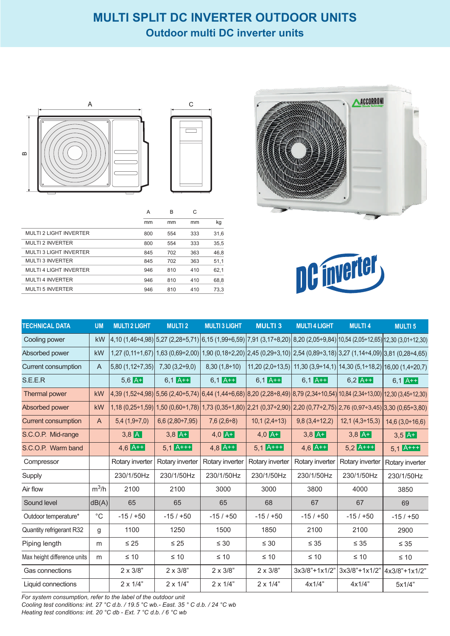# **MULTI SPLIT DC INVERTER OUTDOOR UNITS**

### **Outdoor multi DC inverter units**





|                               | A   | в   | С   |      |  |
|-------------------------------|-----|-----|-----|------|--|
|                               | mm  | mm  | mm  | kg   |  |
| <b>MULTI 2 LIGHT INVERTER</b> | 800 | 554 | 333 | 31,6 |  |
| <b>MULTI 2 INVERTER</b>       | 800 | 554 | 333 | 35,5 |  |
| <b>MULTI 3 LIGHT INVERTER</b> | 845 | 702 | 363 | 46,8 |  |
| <b>MULTI 3 INVERTER</b>       | 845 | 702 | 363 | 51,1 |  |
| <b>MULTI 4 LIGHT INVERTER</b> | 946 | 810 | 410 | 62,1 |  |
| <b>MULTI 4 INVERTER</b>       | 946 | 810 | 410 | 68,8 |  |
| <b>MULTI 5 INVERTER</b>       | 946 | 810 | 410 | 73.3 |  |





| <b>TECHNICAL DATA</b>       | <b>UM</b>      | <b>MULTI 2 LIGHT</b> | <b>MULTI2</b>       | <b>MULTI 3 LIGHT</b> | <b>MULTI3</b>    | <b>MULTI 4 LIGHT</b> | <b>MULTI4</b>                                                                                                               | <b>MULTI 5</b>    |
|-----------------------------|----------------|----------------------|---------------------|----------------------|------------------|----------------------|-----------------------------------------------------------------------------------------------------------------------------|-------------------|
| Cooling power               | kW             |                      |                     |                      |                  |                      | 4,10 (1,46+4,98) 5,27 (2,28+5,71) 6,15 (1,99+6,59) 7,91 (3,17+8,20) 8,20 (2,05+9,84) 10,54 (2,05+12,65) 12,30 (3,01+12,30)  |                   |
| Absorbed power              | kW             |                      |                     |                      |                  |                      | 1,27 (0,11+1,67) 1,63 (0,69+2,00) 1,90 (0,18+2,20) 2,45 (0,29+3,10) 2,54 (0,89+3,18) 3,27 (1,14+4,09) 3,81 (0,28+4,65)      |                   |
| Current consumption         | $\overline{A}$ | $5,80(1,12\div7,35)$ | $7,30(3,2\div 9,0)$ | $8,30(1,8+10)$       |                  |                      | 11,20 $(2,0+13,5)$ 11,30 $(3,9+14,1)$ 14,30 $(5,1+18,2)$ 16,00 $(1,4+20,7)$                                                 |                   |
| S.E.E.R                     |                | $5,6$ A+             | $6,1$ A++           | $6,1$ A++            | $6,1$ A++        | $6,1$ A++            | $6,2$ A++                                                                                                                   | $6,1$ A++         |
| Thermal power               | kW             |                      |                     |                      |                  |                      | 4,39 (1,52÷4,98) 5,56 (2,40÷5,74) 6,44 (1,44÷6,68) 8,20 (2,28÷8,49) 8,79 (2,34÷10,54) 10,84 (2,34÷13,00) 12,30 (3,45÷12,30) |                   |
| Absorbed power              | kW             |                      |                     |                      |                  |                      | 1,18 (0,25÷1,59) 1,50 (0,60÷1,78) 1,73 (0,35÷1,80) 2,21 (0,37÷2,90) 2,20 (0,77÷2,75) 2,76 (0,97÷3,45) 3,30 (0,65÷3,80)      |                   |
| <b>Current consumption</b>  | $\mathsf{A}$   | $5,4(1,9+7,0)$       | $6,6(2,80+7,95)$    | $7,6(2,6-8)$         | $10,1(2,4+13)$   | $9,8(3,4 \div 12,2)$ | $12,1(4,3 \div 15,3)$                                                                                                       | $14,6(3,0+16,6)$  |
| S.C.O.P. Mid-range          |                | $3,8$ $\overline{A}$ | $3,8$ A+            | $4,0$ A+             | $4,0$ A+         | $3,8$ A+             | $3,8$ A+                                                                                                                    | $3,5$ A+          |
| S.C.O.P. Warm band          |                | $4,6$ $A++$          | $5,1$ $A++$         | $4.8$ A++            | $5,1$ $A++$      | $4,6$ $A++$          | $5.2$ A+++                                                                                                                  | $5,1$ A+++        |
| Compressor                  |                | Rotary inverter      | Rotary inverter     | Rotary inverter      | Rotary inverter  | Rotary inverter      | Rotary inverter                                                                                                             | Rotary inverter   |
| Supply                      |                | 230/1/50Hz           | 230/1/50Hz          | 230/1/50Hz           | 230/1/50Hz       | 230/1/50Hz           | 230/1/50Hz                                                                                                                  | 230/1/50Hz        |
| Air flow                    | $m^3/h$        | 2100                 | 2100                | 3000                 | 3000             | 3800                 | 4000                                                                                                                        | 3850              |
| Sound level                 | dB(A)          | 65                   | 65                  | 65                   | 68               | 67                   | 67                                                                                                                          | 69                |
| Outdoor temperature*        | $^{\circ}$ C   | $-15/ +50$           | $-15/ +50$          | $-15/ +50$           | $-15/ +50$       | $-15/ +50$           | $-15/ +50$                                                                                                                  | $-15/ +50$        |
| Quantity refrigerant R32    | g              | 1100                 | 1250                | 1500                 | 1850             | 2100                 | 2100                                                                                                                        | 2900              |
| Piping length               | m              | $\leq 25$            | $\leq 25$           | $\leq 30$            | $\leq 30$        | $\leq 35$            | $\leq 35$                                                                                                                   | $\leq 35$         |
| Max height difference units | m              | $\leq 10$            | $\leq 10$           | $\leq 10$            | $\leq 10$        | $\leq 10$            | $\leq 10$                                                                                                                   | $\leq 10$         |
| Gas connections             |                | $2 \times 3/8$ "     | $2 \times 3/8"$     | $2 \times 3/8$ "     | $2 \times 3/8$ " | $3x3/8" + 1x1/2"$    | $3x3/8" + 1x1/2"$                                                                                                           | $4x3/8" + 1x1/2"$ |
| Liquid connections          |                | $2 \times 1/4$ "     | $2 \times 1/4$ "    | $2 \times 1/4$ "     | $2 \times 1/4$ " | 4x1/4"               | 4x1/4"                                                                                                                      | 5x1/4"            |

*For system consumption, refer to the label of the outdoor unit Cooling test conditions: int. 27 °C d.b. / 19.5 °C wb.- East. 35 ° C d.b. / 24 °C wb Heating test conditions: int. 20 °C db - Ext. 7 °C d.b. / 6 °C wb*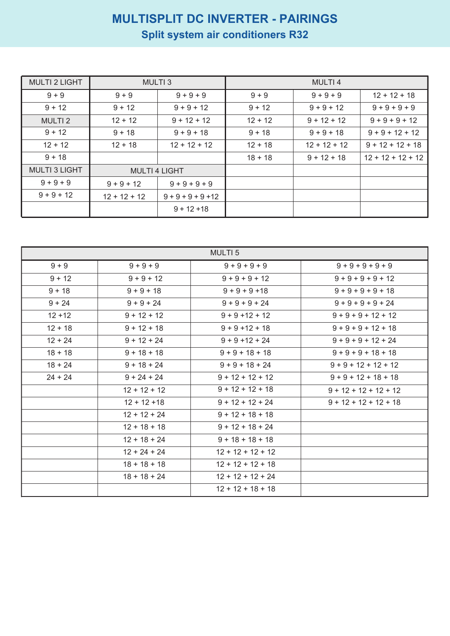## **MULTISPLIT DC INVERTER - PAIRINGS Split system air conditioners R32**

| <b>MULTI 2 LIGHT</b> | <b>MULTI3</b>        |                      |           | <b>MULTI4</b>  |                     |  |
|----------------------|----------------------|----------------------|-----------|----------------|---------------------|--|
| $9 + 9$              | $9 + 9$              | $9 + 9 + 9$          | $9 + 9$   | $9 + 9 + 9$    | $12 + 12 + 18$      |  |
| $9 + 12$             | $9 + 12$             | $9 + 9 + 12$         | $9 + 12$  | $9 + 9 + 12$   | $9 + 9 + 9 + 9$     |  |
| <b>MULTI2</b>        | $12 + 12$            | $9 + 12 + 12$        | $12 + 12$ | $9 + 12 + 12$  | $9 + 9 + 9 + 12$    |  |
| $9 + 12$             | $9 + 18$             | $9 + 9 + 18$         | $9 + 18$  | $9 + 9 + 18$   | $9 + 9 + 12 + 12$   |  |
| $12 + 12$            | $12 + 18$            | $12 + 12 + 12$       | $12 + 18$ | $12 + 12 + 12$ | $9 + 12 + 12 + 18$  |  |
| $9 + 18$             |                      |                      | $18 + 18$ | $9 + 12 + 18$  | $12 + 12 + 12 + 12$ |  |
| <b>MULTI 3 LIGHT</b> | <b>MULTI 4 LIGHT</b> |                      |           |                |                     |  |
| $9 + 9 + 9$          | $9 + 9 + 12$         | $9 + 9 + 9 + 9$      |           |                |                     |  |
| $9 + 9 + 12$         | $12 + 12 + 12$       | $9 + 9 + 9 + 9 + 12$ |           |                |                     |  |
|                      |                      | $9 + 12 + 18$        |           |                |                     |  |

| <b>MULTI5</b> |                |                     |                         |  |  |  |
|---------------|----------------|---------------------|-------------------------|--|--|--|
| $9 + 9$       | $9 + 9 + 9$    | $9 + 9 + 9 + 9$     | $9 + 9 + 9 + 9 + 9$     |  |  |  |
| $9 + 12$      | $9 + 9 + 12$   | $9 + 9 + 9 + 12$    | $9 + 9 + 9 + 9 + 12$    |  |  |  |
| $9 + 18$      | $9 + 9 + 18$   | $9 + 9 + 9 + 18$    | $9 + 9 + 9 + 9 + 18$    |  |  |  |
| $9 + 24$      | $9 + 9 + 24$   | $9 + 9 + 9 + 24$    | $9 + 9 + 9 + 9 + 24$    |  |  |  |
| $12 + 12$     | $9 + 12 + 12$  | $9 + 9 + 12 + 12$   | $9 + 9 + 9 + 12 + 12$   |  |  |  |
| $12 + 18$     | $9 + 12 + 18$  | $9 + 9 + 12 + 18$   | $9 + 9 + 9 + 12 + 18$   |  |  |  |
| $12 + 24$     | $9 + 12 + 24$  | $9 + 9 + 12 + 24$   | $9 + 9 + 9 + 12 + 24$   |  |  |  |
| $18 + 18$     | $9 + 18 + 18$  | $9 + 9 + 18 + 18$   | $9 + 9 + 9 + 18 + 18$   |  |  |  |
| $18 + 24$     | $9 + 18 + 24$  | $9 + 9 + 18 + 24$   | $9 + 9 + 12 + 12 + 12$  |  |  |  |
| $24 + 24$     | $9 + 24 + 24$  | $9 + 12 + 12 + 12$  | $9 + 9 + 12 + 18 + 18$  |  |  |  |
|               | $12 + 12 + 12$ | $9 + 12 + 12 + 18$  | $9 + 12 + 12 + 12 + 12$ |  |  |  |
|               | $12 + 12 + 18$ | $9 + 12 + 12 + 24$  | $9 + 12 + 12 + 12 + 18$ |  |  |  |
|               | $12 + 12 + 24$ | $9 + 12 + 18 + 18$  |                         |  |  |  |
|               | $12 + 18 + 18$ | $9 + 12 + 18 + 24$  |                         |  |  |  |
|               | $12 + 18 + 24$ | $9 + 18 + 18 + 18$  |                         |  |  |  |
|               | $12 + 24 + 24$ | $12 + 12 + 12 + 12$ |                         |  |  |  |
|               | $18 + 18 + 18$ | $12 + 12 + 12 + 18$ |                         |  |  |  |
|               | $18 + 18 + 24$ | $12 + 12 + 12 + 24$ |                         |  |  |  |
|               |                | $12 + 12 + 18 + 18$ |                         |  |  |  |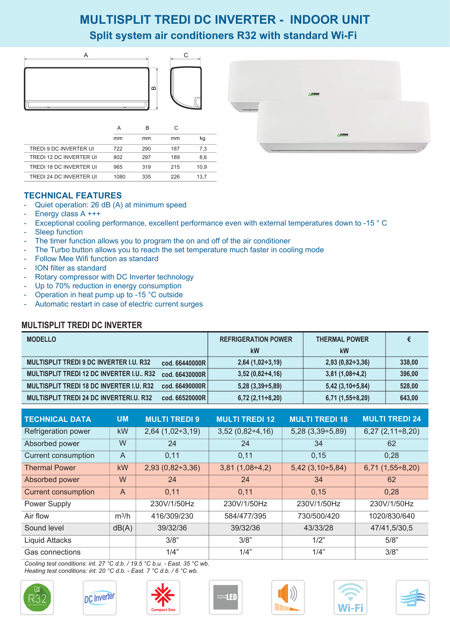### **MULTISPLIT TREDI DC INVERTER - INDOOR UNIT Split system air conditioners R32 with standard Wi-Fi**



|                         | А    | в   | C   |      |
|-------------------------|------|-----|-----|------|
|                         | mm   | mm  | mm  | kg   |
| TREDI 9 DC INVERTER UI  | 722  | 290 | 187 | 7.3  |
| TREDI 12 DC INVERTER UI | 802  | 297 | 189 | 8,6  |
| TREDI 18 DC INVERTER UI | 965  | 319 | 215 | 10.9 |
| TREDI 24 DC INVERTER UI | 1080 | 335 | 226 | 13.7 |



### **TECHNICAL FEATURES**

- Quiet operation: 26 dB (A) at minimum speed
- Energy class A +++
- Exceptional cooling performance, excellent performance even with external temperatures down to -15 ° C
- Sleep function
- The timer function allows you to program the on and off of the air conditioner
- The Turbo button allows you to reach the set temperature much faster in cooling mode
- Follow Mee Wifi function as standard
- ION filter as standard
- Rotary compressor with DC Inverter technology
- Up to 70% reduction in energy consumption
- Operation in heat pump up to -15 °C outside
- Automatic restart in case of electric current surges

### **MULTISPLIT TREDI DC INVERTER**

| <b>MODELLO</b>                                                     | <b>REFRIGERATION POWER</b> | <b>THERMAL POWER</b>   |        |
|--------------------------------------------------------------------|----------------------------|------------------------|--------|
|                                                                    | kW                         | kW                     |        |
| <b>MULTISPLIT TREDI 9 DC INVERTER I.U. R32</b><br>cod. 66440000R   | $2,64$ (1,02÷3,19)         | $2,93(0,82 \div 3,36)$ | 338,00 |
| <b>MULTISPLIT TREDI 12 DC INVERTER I.U., R32</b><br>cod. 66430000R | $3,52(0,82 \div 4,16)$     | $3,81(1,08 \div 4,2)$  | 396,00 |
| <b>MULTISPLIT TREDI 18 DC INVERTER I.U. R32</b><br>cod. 66490000R  | $5,28(3,39 \div 5,89)$     | $5,42$ (3,10÷5,84)     | 528,00 |
| <b>MULTISPLIT TREDI 24 DC INVERTERI.U. R32</b><br>cod. 66520000R   | $6,72$ (2,11÷8,20)         | $6,71(1,55 \div 8,20)$ | 643,00 |

| <b>TECHNICAL DATA</b>      | <b>UM</b>         | <b>MULTI TREDI 9</b>   | <b>MULTI TREDI 12</b>  | <b>MULTI TREDI 18</b>  | <b>MULTI TREDI 24</b> |
|----------------------------|-------------------|------------------------|------------------------|------------------------|-----------------------|
| Refrigeration power        | kW                | $2,64$ (1,02÷3,19)     | $3,52(0,82 \div 4,16)$ | $5,28(3,39 \div 5,89)$ | $6,27(2,11\div 8,20)$ |
| Absorbed power             | W                 | 24                     | 24                     | 34                     | 62                    |
| <b>Current consumption</b> | $\overline{A}$    | 0,11                   | 0,11                   | 0,15                   | 0.28                  |
| <b>Thermal Power</b>       | <b>kW</b>         | $2,93(0,82 \div 3,36)$ | $3,81(1,08\div 4,2)$   | $5,42$ (3,10÷5,84)     | $6,71(1,55\div 8,20)$ |
| Absorbed power             | W                 | 24                     | 24                     | 34                     | 62                    |
| <b>Current consumption</b> | $\overline{A}$    | 0,11                   | 0,11                   | 0,15                   | 0,28                  |
| Power Supply               |                   | 230V/1/50Hz            | 230V/1/50Hz            | 230V/1/50Hz            | 230V/1/50Hz           |
| Air flow                   | m <sup>3</sup> /h | 416/309/230            | 584/477/395            | 730/500/420            | 1020/830/640          |
| Sound level                | dB(A)             | 39/32/36               | 39/32/36               | 43/33/28               | 47/41,5/30,5          |
| <b>Liquid Attacks</b>      |                   | 3/8"                   | 3/8"                   | 1/2"                   | 5/8"                  |
| Gas connections            |                   | 1/4"                   | 1/4"                   | 1/4"                   | 3/8"                  |

*Cooling test conditions: int. 27 °C d.b. / 19.5 °C b.u. - East. 35 °C wb. Heating test conditions: int. 20 °C d.b. - East. 7 °C d.b. / 6 °C wb.*













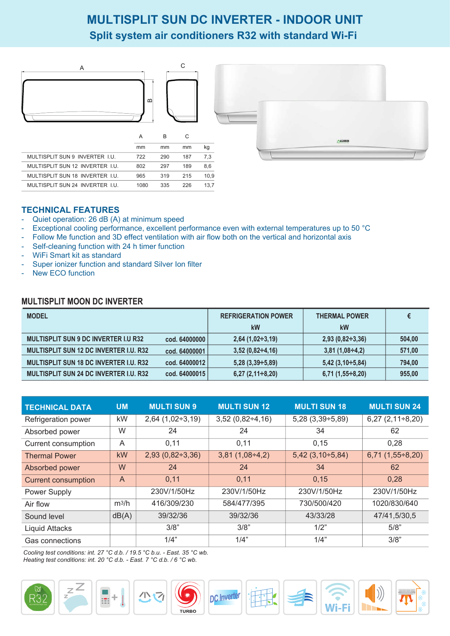## **MULTISPLIT SUN DC INVERTER - INDOOR UNIT Split system air conditioners R32 with standard Wi-Fi**





kg 7,3 8,6 10,9



### **TECHNICAL FEATURES**

MULTISPLIT SUN 9 INVERTER I.U. MULTISPLIT SUN 12 INVERTER I.U. MULTISPLIT SUN 18 INVERTER I.U.

- Quiet operation: 26 dB (A) at minimum speed
- Exceptional cooling performance, excellent performance even with external temperatures up to 50 °C
- Follow Me function and 3D effect ventilation with air flow both on the vertical and horizontal axis

C  $\overline{mm}$ 187 189 215

- Self-cleaning function with 24 h timer function
- WiFi Smart kit as standard
- Super ionizer function and standard Silver Ion filter

MULTISPLIT SUN 24 INVERTER I.U. 1080 335 226 13.7

A  $\overline{mm}$ 722 802 965

B  $\frac{1}{\text{mm}}$ 290 297 319

- New ECO function

#### **MULTISPLIT MOON DC INVERTER**

| <b>MODEL</b>                                  |                 | <b>REFRIGERATION POWER</b> | <b>THERMAL POWER</b>   |        |
|-----------------------------------------------|-----------------|----------------------------|------------------------|--------|
|                                               |                 | kW                         | kW                     |        |
| <b>MULTISPLIT SUN 9 DC INVERTER I.U R32</b>   | cod. 64000000 l | $2,64$ (1,02÷3,19)         | $2,93(0,82 \div 3,36)$ | 504,00 |
| <b>MULTISPLIT SUN 12 DC INVERTER I.U. R32</b> | cod. 64000001   | $3,52(0,82 \div 4,16)$     | $3,81(1,08 \div 4,2)$  | 571,00 |
| <b>MULTISPLIT SUN 18 DC INVERTER I.U. R32</b> | cod. 64000012   | $5,28(3,39 \div 5,89)$     | $5,42$ (3,10÷5,84)     | 794,00 |
| <b>MULTISPLIT SUN 24 DC INVERTER I.U. R32</b> | cod. 64000015   | $6,27(2,11\div 8,20)$      | $6,71(1,55\div 8,20)$  | 955,00 |

| <b>TECHNICAL DATA</b>      | <b>UM</b>      | <b>MULTI SUN 9</b>     | <b>MULTI SUN 12</b>   | <b>MULTI SUN 18</b>    | <b>MULTI SUN 24</b>   |
|----------------------------|----------------|------------------------|-----------------------|------------------------|-----------------------|
| Refrigeration power        | kW             | $2,64$ (1,02÷3,19)     | $3,52(0,82\div 4,16)$ | $5,28(3,39 \div 5,89)$ | $6,27(2,11\div 8,20)$ |
| Absorbed power             | W              | 24                     | 24                    | 34                     | 62                    |
| Current consumption        | A              | 0,11                   | 0,11                  | 0,15                   | 0,28                  |
| <b>Thermal Power</b>       | kW             | $2,93(0,82 \div 3,36)$ | $3,81(1,08\div 4,2)$  | $5,42$ (3,10÷5,84)     | $6,71(1,55\div 8,20)$ |
| Absorbed power             | W              | 24                     | 24                    | 34                     | 62                    |
| <b>Current consumption</b> | $\overline{A}$ | 0,11                   | 0,11                  | 0,15                   | 0,28                  |
| Power Supply               |                | 230V/1/50Hz            | 230V/1/50Hz           | 230V/1/50Hz            | 230V/1/50Hz           |
| Air flow                   | $m^3/h$        | 416/309/230            | 584/477/395           | 730/500/420            | 1020/830/640          |
| Sound level                | dB(A)          | 39/32/36               | 39/32/36              | 43/33/28               | 47/41,5/30,5          |
| <b>Liquid Attacks</b>      |                | 3/8"                   | 3/8"                  | 1/2"                   | 5/8"                  |
| Gas connections            |                | 1/4"                   | 1/4"                  | 1/4"                   | 3/8"                  |

*Cooling test conditions: int. 27 °C d.b. / 19.5 °C b.u. - East. 35 °C wb.*

*Heating test conditions: int. 20 °C d.b. - East. 7 °C d.b. / 6 °C wb.*

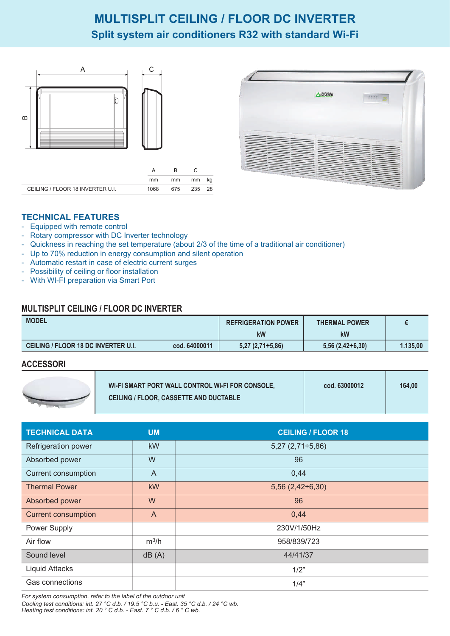### **MULTISPLIT CEILING / FLOOR DC INVERTER Split system air conditioners R32 with standard Wi-Fi**





### **TECHNICAL FEATURES**

- Equipped with remote control
- Rotary compressor with DC Inverter technology
- Quickness in reaching the set temperature (about 2/3 of the time of a traditional air conditioner)
- Up to 70% reduction in energy consumption and silent operation
- Automatic restart in case of electric current surges
- Possibility of ceiling or floor installation
- With WI-FI preparation via Smart Port

### **MULTISPLIT CEILING / FLOOR DC INVERTER**

| <b>MODEL</b>                        |               | <b>REFRIGERATION POWER</b> | <b>THERMAL POWER</b>   |          |
|-------------------------------------|---------------|----------------------------|------------------------|----------|
|                                     |               | kW                         | kW                     |          |
| CEILING / FLOOR 18 DC INVERTER U.I. | cod. 64000011 | $5,27(2,71 \div 5,86)$     | $5,56(2,42 \div 6,30)$ | 1.135,00 |

#### **ACCESSORI**

| WI-FI SMART PORT WALL CONTROL WI-FI FOR CONSOLE, | cod. 63000012 | 164.00 |
|--------------------------------------------------|---------------|--------|
| <b>CEILING / FLOOR, CASSETTE AND DUCTABLE</b>    |               |        |

| <b>TECHNICAL DATA</b>      | <b>UM</b>      | <b>CEILING / FLOOR 18</b> |
|----------------------------|----------------|---------------------------|
| Refrigeration power        | <b>kW</b>      | $5,27(2,71 \div 5,86)$    |
| Absorbed power             | W              | 96                        |
| <b>Current consumption</b> | $\overline{A}$ | 0,44                      |
| <b>Thermal Power</b>       | <b>kW</b>      | $5,56(2,42\div 6,30)$     |
| Absorbed power             | W              | 96                        |
| <b>Current consumption</b> | $\mathsf{A}$   | 0,44                      |
| Power Supply               |                | 230V/1/50Hz               |
| Air flow                   | $m^3/h$        | 958/839/723               |
| Sound level                | dB(A)          | 44/41/37                  |
| <b>Liquid Attacks</b>      |                | 1/2"                      |
| Gas connections            |                | 1/4"                      |

*Cooling test conditions: int. 27 °C d.b. / 19.5 °C b.u. - East. 35 °C d.b. / 24 °C wb. For system consumption, refer to the label of the outdoor unit Heating test conditions: int. 20 ° C d.b. - East. 7 ° C d.b. / 6 ° C wb.*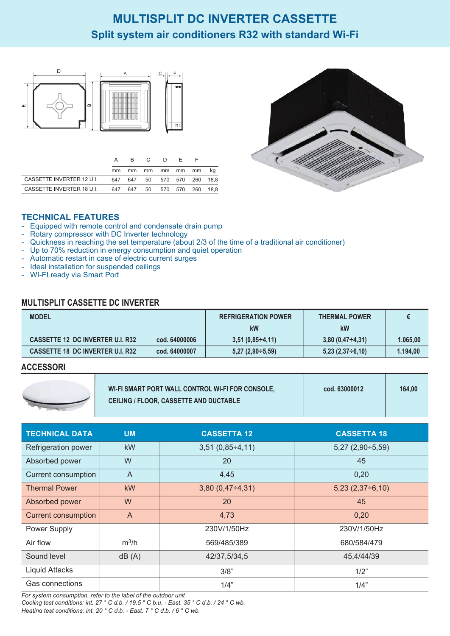### **MULTISPLIT DC INVERTER CASSETTE Split system air conditioners R32 with standard Wi-Fi**



|                                                       |    |    | R C D F                     |       |    |    |
|-------------------------------------------------------|----|----|-----------------------------|-------|----|----|
|                                                       | mm | mm | mm                          | mm mm | mm | ka |
| CASSETTE INVERTER 12 U.I. 647 647 50 570 570 260 18.8 |    |    |                             |       |    |    |
| CASSETTE INVERTER 18 U.I.                             |    |    | 647 647 50 570 570 260 18.8 |       |    |    |



### **TECHNICAL FEATURES**

- Equipped with remote control and condensate drain pump
- Rotary compressor with DC Inverter technology
- Quickness in reaching the set temperature (about 2/3 of the time of a traditional air conditioner)
- Up to 70% reduction in energy consumption and quiet operation
- Automatic restart in case of electric current surges
- Ideal installation for suspended ceilings
- WI-FI ready via Smart Port

### **MULTISPLIT CASSETTE DC INVERTER**

| <b>MODEL</b>                            |               | <b>REFRIGERATION POWER</b> | <b>THERMAL POWER</b>   |          |
|-----------------------------------------|---------------|----------------------------|------------------------|----------|
|                                         |               | kW                         | kW                     |          |
| <b>CASSETTE 12 DC INVERTER U.I. R32</b> | cod. 64000006 | 3,51 (0,85÷4,11)           | $3,80(0,47 \div 4,31)$ | 1.065,00 |
| <b>CASSETTE 18 DC INVERTER U.I. R32</b> | cod. 64000007 | $5,27$ (2,90÷5,59)         | $5,23(2,37 \div 6,10)$ | 1.194,00 |

#### **ACCESSORI**

| WI-FI SMART PORT WALL CONTROL WI-FI FOR CONSOLE. | cod. 63000012 | 164,00 |
|--------------------------------------------------|---------------|--------|
| <b>CEILING / FLOOR, CASSETTE AND DUCTABLE</b>    |               |        |

| <b>TECHNICAL DATA</b>      | <b>UM</b>    | <b>CASSETTA 12</b>     | <b>CASSETTA 18</b>     |
|----------------------------|--------------|------------------------|------------------------|
| Refrigeration power        | <b>kW</b>    | $3,51(0,85 \div 4,11)$ | $5,27(2,90 \div 5,59)$ |
| Absorbed power             | W            | 20                     | 45                     |
| <b>Current consumption</b> | $\mathsf{A}$ | 4,45                   | 0,20                   |
| <b>Thermal Power</b>       | <b>kW</b>    | $3,80(0,47\div 4,31)$  | $5,23(2,37\div 6,10)$  |
| Absorbed power             | W            | 20                     | 45                     |
| <b>Current consumption</b> | $\mathsf{A}$ | 4,73                   | 0,20                   |
| Power Supply               |              | 230V/1/50Hz            | 230V/1/50Hz            |
| Air flow                   | $m^3/h$      | 569/485/389            | 680/584/479            |
| Sound level                | dB(A)        | 42/37,5/34,5           | 45,4/44/39             |
| Liquid Attacks             |              | 3/8"                   | 1/2"                   |
| Gas connections            |              | 1/4"                   | 1/4"                   |

*For system consumption, refer to the label of the outdoor unit*

*Cooling test conditions: int. 27 ° C d.b. / 19.5 ° C b.u. - East. 35 ° C d.b. / 24 ° C wb. Heating test conditions: int. 20 ° C d.b. - East. 7 ° C d.b. / 6 ° C wb.*